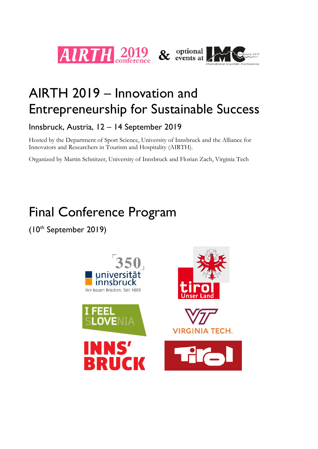

# AIRTH 2019 – Innovation and Entrepreneurship for Sustainable Success

Innsbruck, Austria, 12 – 14 September 2019

Hosted by the Department of Sport Science, University of Innsbruck and the Alliance for Innovators and Researchers in Tourism and Hospitality (AIRTH).

Organized by Martin Schnitzer, University of Innsbruck and Florian Zach, Virginia Tech

# Final Conference Program

(10th September 2019)

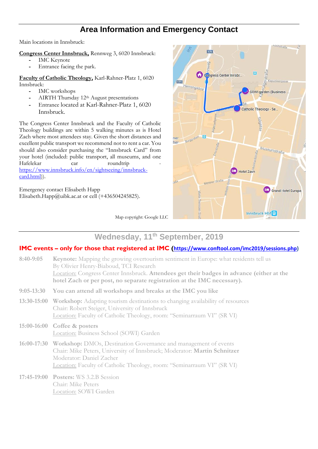## **Area Information and Emergency Contact**

Main locations in Innsbruck:

**Congress Center Innsbruck,** Rennweg 3, 6020 Innsbruck:

- **-** IMC Keynote
- **-** Entrance facing the park.

**Faculty of Catholic Theology,** Karl-Rahner-Platz 1, 6020 Innsbruck:

- **-** IMC workshops
- **-** AIRTH Thursday 12th August presentations
- **-** Entrance located at Karl-Rahner-Platz 1, 6020 Innsbruck.

The Congress Center Innsbruck and the Faculty of Catholic Theology buildings are within 5 walking minutes as is Hotel Zach where most attendees stay. Given the short distances and excellent public transport we recommend not to rent a car. You should also consider purchasing the "Innsbruck Card" from your hotel (included: public transport, all museums, and one Hafelekar car roundtrip [https://www.innsbruck.info/en/sightseeing/innsbruck](https://www.innsbruck.info/en/sightseeing/innsbruck-card.html)[card.html\)](https://www.innsbruck.info/en/sightseeing/innsbruck-card.html)).

Emergency contact Elisabeth Happ Elisabeth.Happ@uibk.ac.at or cell  $(+436504245825)$ .



Map copyright: Google LLC

## **Wednesday, 11th September, 2019**

### **IMC events – only for those that registered at IMC ([https://www.conftool.com/imc2019/sessions.php\)](https://www.conftool.com/imc2019/sessions.php)**

| $8:40-9:05$  | <b>Keynote:</b> Mapping the growing overtourism sentiment in Europe: what residents tell us<br>By Olivier Henry-Biaboud, TCI Research<br>Location: Congress Center Innsbruck. Attendees get their badges in advance (either at the<br>hotel Zach or per post, no separate registration at the IMC necessary). |
|--------------|---------------------------------------------------------------------------------------------------------------------------------------------------------------------------------------------------------------------------------------------------------------------------------------------------------------|
| $9:05-13:30$ | You can attend all workshops and breaks at the IMC you like                                                                                                                                                                                                                                                   |
|              | 13:30-15:00 Workshop: Adapting tourism destinations to changing availability of resources<br>Chair: Robert Steiger, University of Innsbruck<br>Location: Faculty of Catholic Theology, room: "Seminarraum VI" (SR VI)                                                                                         |
|              | 15:00-16:00 Coffee & posters<br>Location: Business School (SOWI) Garden                                                                                                                                                                                                                                       |
|              | 16:00-17:30 Workshop: DMOs, Destination Governance and management of events<br>Chair: Mike Peters, University of Innsbruck; Moderator: Martin Schnitzer<br>Moderator: Daniel Zacher<br>Location: Faculty of Catholic Theology, room: "Seminarraum VI" (SR VI)                                                 |
|              | 17:45-19:00 Posters: WS 3.2.B Session<br>Chair: Mike Peters<br>Location: SOWI Garden                                                                                                                                                                                                                          |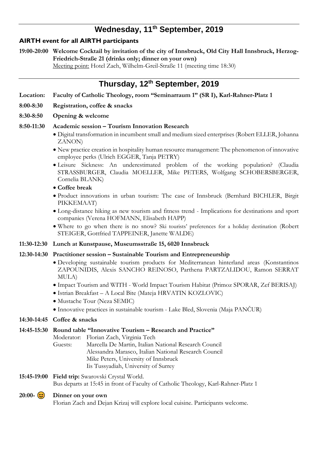# **Wednesday, 11th September, 2019**

#### **AIRTH event for all AIRTH participants**

**19:00-20:00 Welcome Cocktail by invitation of the city of Innsbruck, Old City Hall Innsbruck, Herzog-Friedrich-Straße 21 (drinks only; dinner on your own)**

Meeting point: Hotel Zach, Wilhelm-Greil-Straße 11 (meeting time 18:30)

## **Thursday, 12 th September, 2019**

- **Location: Faculty of Catholic Theology, room "Seminarraum 1" (SR I), Karl-Rahner-Platz 1**
- **8:00-8:30 Registration, coffee & snacks**
- **8:30-8:50 Opening & welcome**

#### **8:50-11:30 Academic session – Tourism Innovation Research**

- Digital transformation in incumbent small and medium sized enterprises (Robert ELLER, Johanna ZANON)
- New practice creation in hospitality human resource management: The phenomenon of innovative employee perks (Ulrich EGGER, Tanja PETRY)
- Leisure Sickness: An underestimated problem of the working population? (Claudia STRASSBURGER, Claudia MOELLER, Mike PETERS, Wolfgang SCHOBERSBERGER, Cornelia BLANK)

#### • **Coffee break**

- Product innovations in urban tourism: The case of Innsbruck (Bernhard BICHLER, Birgit PIKKEMAAT)
- Long-distance hiking as new tourism and fitness trend Implications for destinations and sport companies (Verena HOFMANN, Elisabeth HAPP)
- Where to go when there is no snow? Ski tourists' preferences for a holiday destination (Robert STEIGER, Gottfried TAPPEINER, Janette WALDE)
- **11:30-12:30 Lunch at Kunstpause, Museumsstraße 15, 6020 Innsbruck**

#### **12:30-14:30 Practitioner session – Sustainable Tourism and Entrepreneurship**

- Developing sustainable tourism products for Mediterranean hinterland areas (Konstantinos ZAPOUNIDIS, Alexis SANCHO REINOSO, Parthena PARTZALIDOU, Ramon SERRAT MULA)
- Impact Tourism and WITH World Impact Tourism Habitat (Primoz SPORAR, Zef BERISAJ)
- Istrian Breakfast A Local Bite (Mateja HRVATIN KOZLOVIC)
- Mustache Tour (Neza SEMIC)
- Innovative practices in sustainable tourism Lake Bled, Slovenia (Maja PANČUR)

#### **14:30-14:45 Coffee & snacks**

#### **14:45-15:30 Round table "Innovative Tourism – Research and Practice"**

Moderator: Florian Zach, Virginia Tech

Guests: Marcella De Martin, Italian National Research Council Alessandra Marasco, Italian National Research Council Mike Peters, University of Innsbruck Iis Tussyadiah, University of Surrey

#### **15:45-19:00 Field trip:** Swarovski Crystal World.

Bus departs at 15:45 in front of Faculty of Catholic Theology, Karl-Rahner-Platz 1

#### **20:00- Dinner on your own**

Florian Zach and Dejan Krizaj will explore local cuisine. Participants welcome.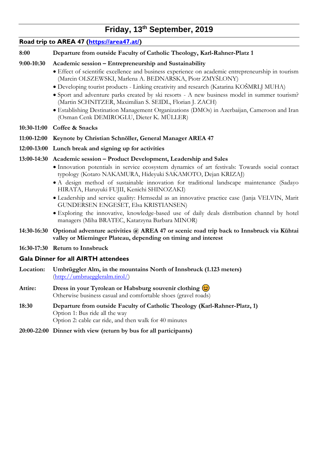# **Friday, 13th September, 2019**

| Road trip to AREA 47 (https://area47.at/) |                                                                                        |
|-------------------------------------------|----------------------------------------------------------------------------------------|
| 8:00                                      | Departure from outside Faculty of Catholic Theology, Karl-Rahner-Platz 1               |
| $9:00-10:30$                              | Academic session – Entrepreneurship and Sustainability                                 |
|                                           | • Effect of scientific excellence and business experience on academic entrepreneurship |

- ip in tourism (Marcin OLSZEWSKI, Marlena A. BEDNARSKA, Piotr ZMYŚLONY)
- Developing tourist products Linking creativity and research (Katarina KOŠMRLJ MUHA)
- Sport and adventure parks created by ski resorts A new business model in summer tourism? (Martin SCHNITZER, Maximilian S. SEIDL, Florian J. ZACH)
- Establishing Destination Management Organizations (DMOs) in Azerbaijan, Cameroon and Iran (Osman Cenk DEMIROGLU, Dieter K. MÜLLER)
- **10:30-11:00 Coffee & Snacks**
- **11:00-12:00 Keynote by Christian Schnöller, General Manager AREA 47**
- **12:00-13:00 Lunch break and signing up for activities**

## **13:00-14:30 Academic session – Product Development, Leadership and Sales**

- Innovation potentials in service ecosystem dynamics of art festivals: Towards social contact typology (Kotaro NAKAMURA, Hideyuki SAKAMOTO, Dejan KRIZAJ)
- A design method of sustainable innovation for traditional landscape maintenance (Sadayo HIRATA, Haruyuki FUJII, Kenichi SHINOZAKI)
- Leadership and service quality: Hemsedal as an innovative practice case (Janja VELVIN, Marit GUNDERSEN ENGESET, Elsa KRISTIANSEN)
- Exploring the innovative, knowledge-based use of daily deals distribution channel by hotel managers (Miha BRATEC, Katarzyna Barbara MINOR)
- **14:30-16:30 Optional adventure activities @ AREA 47 or scenic road trip back to Innsbruck via Kühtai valley or Mieminger Plateau, depending on timing and interest**
- **16:30-17:30 Return to Innsbruck**

## **Gala Dinner for all AIRTH attendees**

- **Location: Umbrüggler Alm, in the mountains North of Innsbruck (1.123 meters)** [\(http://umbrueggleralm.tirol/\)](http://umbrueggleralm.tirol/)
- Attire: **Dress in your Tyrolean or Habsburg souvenir clothing**  $\circled{c}$ Otherwise business casual and comfortable shoes (gravel roads)
- **18:30 Departure from outside Faculty of Catholic Theology (Karl-Rahner-Platz, 1)** Option 1: Bus ride all the way Option 2: cable car ride, and then walk for 40 minutes
- **20:00-22:00 Dinner with view (return by bus for all participants)**